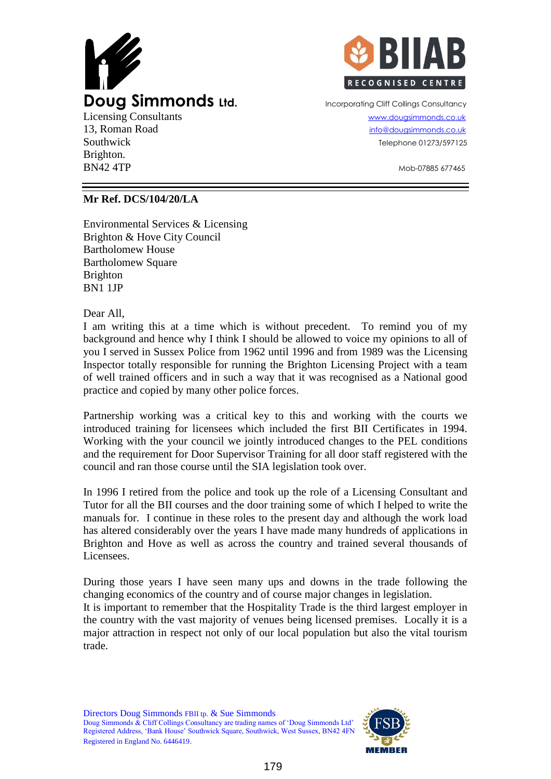



Southwick Telephone 01273/597125

 $BN42$  4TP  $\sim$   $M_{\odot}$   $\sim$   $M_{\odot}$   $\sim$   $M_{\odot}$   $\sim$   $M_{\odot}$   $\sim$   $M_{\odot}$   $\sim$   $M_{\odot}$   $\sim$   $M_{\odot}$   $\sim$   $M_{\odot}$   $\sim$   $M_{\odot}$   $\sim$   $M_{\odot}$   $\sim$   $M_{\odot}$   $\sim$   $M_{\odot}$   $\sim$   $M_{\odot}$   $\sim$   $M_{\odot}$   $\sim$   $M_{\odot}$ 

## **Mr Ref. DCS/104/20/LA**

Environmental Services & Licensing Brighton & Hove City Council Bartholomew House Bartholomew Square Brighton BN1 1JP

Dear All,

Brighton.

I am writing this at a time which is without precedent. To remind you of my background and hence why I think I should be allowed to voice my opinions to all of you I served in Sussex Police from 1962 until 1996 and from 1989 was the Licensing Inspector totally responsible for running the Brighton Licensing Project with a team of well trained officers and in such a way that it was recognised as a National good practice and copied by many other police forces.

Partnership working was a critical key to this and working with the courts we introduced training for licensees which included the first BII Certificates in 1994. Working with the your council we jointly introduced changes to the PEL conditions and the requirement for Door Supervisor Training for all door staff registered with the council and ran those course until the SIA legislation took over.

In 1996 I retired from the police and took up the role of a Licensing Consultant and Tutor for all the BII courses and the door training some of which I helped to write the manuals for. I continue in these roles to the present day and although the work load has altered considerably over the years I have made many hundreds of applications in Brighton and Hove as well as across the country and trained several thousands of Licensees.

During those years I have seen many ups and downs in the trade following the changing economics of the country and of course major changes in legislation.

It is important to remember that the Hospitality Trade is the third largest employer in the country with the vast majority of venues being licensed premises. Locally it is a major attraction in respect not only of our local population but also the vital tourism trade.

Directors Doug Simmonds FBII tp. & Sue Simmonds Doug Simmonds & Cliff Collings Consultancy are trading names of 'Doug Simmonds Ltd' Registered Address, 'Bank House' Southwick Square, Southwick, West Sussex, BN42 4FN Registered in England No. 6446419.